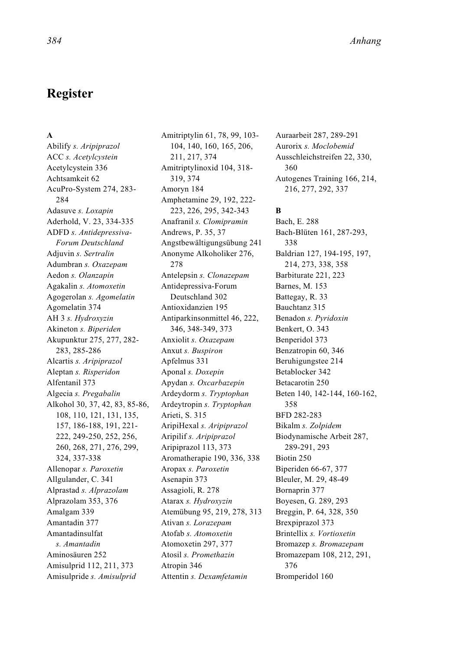# **Register**

#### **A**

Abilify *s. Aripiprazol* ACC *s. Acetylcystein* Acetylcystein 336 Achtsamkeit 62 AcuPro-System 274, 283- 284 Adasuve *s. Loxapin* Aderhold, V. 23, 334-335 ADFD *s. Antidepressiva-Forum Deutschland* Adjuvin *s. Sertralin* Adumbran *s. Oxazepam* Aedon *s. Olanzapin* Agakalin *s. Atomoxetin* Agogerolan *s. Agomelatin* Agomelatin 374 AH 3 *s. Hydroxyzin* Akineton *s. Biperiden* Akupunktur 275, 277, 282- 283, 285-286 Alcartis *s. Aripiprazol* Aleptan *s. Risperidon* Alfentanil 373 Algecia *s. Pregabalin* Alkohol 30, 37, 42, 83, 85-86, 108, 110, 121, 131, 135, 157, 186-188, 191, 221- 222, 249-250, 252, 256, 260, 268, 271, 276, 299, 324, 337-338 Allenopar *s. Paroxetin* Allgulander, C. 341 Alprastad *s. Alprazolam* Alprazolam 353, 376 Amalgam 339 Amantadin 377 Amantadinsulfat *s. Amantadin* Aminosäuren 252 Amisulprid 112, 211, 373 Amisulpride *s. Amisulprid*

Amitriptylin 61, 78, 99, 103- 104, 140, 160, 165, 206, 211, 217, 374 Amitriptylinoxid 104, 318- 319, 374 Amoryn 184 Amphetamine 29, 192, 222- 223, 226, 295, 342-343 Anafranil *s. Clomipramin* Andrews, P. 35, 37 Angstbewältigungsübung 241 Anonyme Alkoholiker 276, 278 Antelepsin *s. Clonazepam* Antidepressiva-Forum Deutschland 302 Antioxidanzien 195 Antiparkinsonmittel 46, 222, 346, 348-349, 373 Anxiolit *s. Oxazepam* Anxut *s. Buspiron* Apfelmus 331 Aponal *s. Doxepin* Apydan *s. Oxcarbazepin* Ardeydorm *s. Tryptophan* Ardeytropin *s. Tryptophan* Arieti, S. 315 AripiHexal *s. Aripiprazol* Aripilif *s. Aripiprazol* Aripiprazol 113, 373 Aromatherapie 190, 336, 338 Aropax *s. Paroxetin* Asenapin 373 Assagioli, R. 278 Atarax *s. Hydroxyzin* Atemübung 95, 219, 278, 313 Ativan *s. Lorazepam* Atofab *s. Atomoxetin* Atomoxetin 297, 377 Atosil *s. Promethazin* Atropin 346 Attentin *s. Dexamfetamin*

Auraarbeit 287, 289-291 Aurorix *s. Moclobemid* Ausschleichstreifen 22, 330, 360 Autogenes Training 166, 214, 216, 277, 292, 337

#### **B**

Bach, E. 288 Bach-Blüten 161, 287-293, 338 Baldrian 127, 194-195, 197, 214, 273, 338, 358 Barbiturate 221, 223 Barnes, M. 153 Battegay, R. 33 Bauchtanz 315 Benadon *s. Pyridoxin* Benkert, O. 343 Benperidol 373 Benzatropin 60, 346 Beruhigungstee 214 Betablocker 342 Betacarotin 250 Beten 140, 142-144, 160-162, 358 BFD 282-283 Bikalm *s. Zolpidem* Biodynamische Arbeit 287, 289-291, 293 Biotin 250 Biperiden 66-67, 377 Bleuler, M. 29, 48-49 Bornaprin 377 Boyesen, G. 289, 293 Breggin, P. 64, 328, 350 Brexpiprazol 373 Brintellix *s. Vortioxetin* Bromazep *s. Bromazepam* Bromazepam 108, 212, 291, 376 Bromperidol 160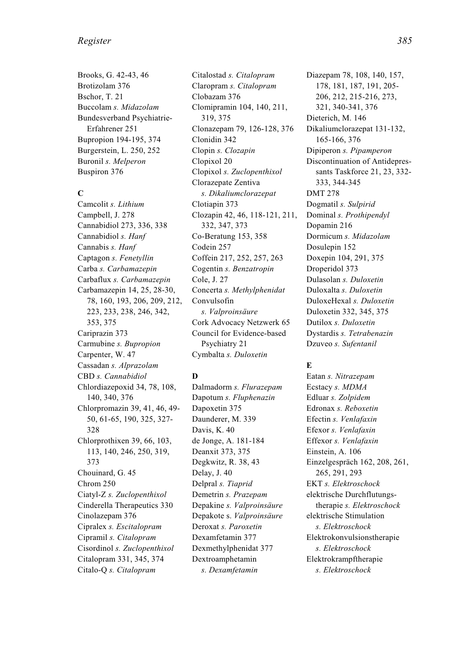#### *Register 385*

Brooks, G. 42-43, 46 Brotizolam 376 Bschor, T. 21 Buccolam *s. Midazolam* Bundesverband Psychiatrie-Erfahrener 251 Bupropion 194-195, 374 Burgerstein, L. 250, 252 Buronil *s. Melperon* Buspiron 376

#### **C**

Camcolit *s. Lithium* Campbell, J. 278 Cannabidiol 273, 336, 338 Cannabidiol *s. Hanf* Cannabis *s. Hanf* Captagon *s. Fenetyllin* Carba *s. Carbamazepin* Carbaflux *s. Carbamazepin* Carbamazepin 14, 25, 28-30, 78, 160, 193, 206, 209, 212, 223, 233, 238, 246, 342, 353, 375 Cariprazin 373 Carmubine *s. Bupropion* Carpenter, W. 47 Cassadan *s. Alprazolam* CBD *s. Cannabidiol* Chlordiazepoxid 34, 78, 108, 140, 340, 376 Chlorpromazin 39, 41, 46, 49- 50, 61-65, 190, 325, 327- 328 Chlorprothixen 39, 66, 103, 113, 140, 246, 250, 319, 373 Chouinard, G. 45 Chrom 250 Ciatyl-Z *s. Zuclopenthixol* Cinderella Therapeutics 330 Cinolazepam 376 Cipralex *s. Escitalopram* Cipramil *s. Citalopram* Cisordinol *s. Zuclopenthixol* Citalopram 331, 345, 374 Citalo-Q *s. Citalopram*

Citalostad *s. Citalopram* Claropram *s. Citalopram* Clobazam 376 Clomipramin 104, 140, 211, 319, 375 Clonazepam 79, 126-128, 376 Clonidin 342 Clopin *s. Clozapin* Clopixol 20 Clopixol *s. Zuclopenthixol* Clorazepate Zentiva *s. Dikaliumclorazepat* Clotiapin 373 Clozapin 42, 46, 118-121, 211, 332, 347, 373 Co-Beratung 153, 358 Codein 257 Coffein 217, 252, 257, 263 Cogentin *s. Benzatropin* Cole, J. 27 Concerta *s. Methylphenidat* Convulsofin *s. Valproinsäure* Cork Advocacy Netzwerk 65 Council for Evidence-based Psychiatry 21 Cymbalta *s. Duloxetin*

#### **D**

Dalmadorm *s. Flurazepam* Dapotum *s. Fluphenazin* Dapoxetin 375 Daunderer, M. 339 Davis, K. 40 de Jonge, A. 181-184 Deanxit 373, 375 Degkwitz, R. 38, 43 Delay, J. 40 Delpral *s. Tiaprid* Demetrin *s. Prazepam* Depakine *s. Valproinsäure* Depakote s. *Valproinsäure* Deroxat *s. Paroxetin* Dexamfetamin 377 Dexmethylphenidat 377 Dextroamphetamin *s. Dexamfetamin*

Diazepam 78, 108, 140, 157, 178, 181, 187, 191, 205- 206, 212, 215-216, 273, 321, 340-341, 376 Dieterich, M. 146 Dikaliumclorazepat 131-132, 165-166, 376 Dipiperon *s. Pipamperon* Discontinuation of Antidepressants Taskforce 21, 23, 332- 333, 344-345 DMT 278 Dogmatil *s. Sulpirid* Dominal *s. Prothipendyl* Dopamin 216 Dormicum *s. Midazolam* Dosulepin 152 Doxepin 104, 291, 375 Droperidol 373 Dulasolan *s. Duloxetin* Duloxalta *s. Duloxetin* DuloxeHexal *s. Duloxetin* Duloxetin 332, 345, 375 Dutilox *s. Duloxetin* Dystardis *s. Tetrabenazin* Dzuveo *s. Sufentanil*

### **E**

Eatan *s. Nitrazepam* Ecstacy *s. MDMA* Edluar *s. Zolpidem* Edronax *s. Reboxetin* Efectin *s. Venlafaxin* Efexor *s. Venlafaxin* Effexor *s. Venlafaxin* Einstein, A. 106 Einzelgespräch 162, 208, 261, 265, 291, 293 EKT *s. Elektroschock* elektrische Durchflutungstherapie *s. Elektroschock* elektrische Stimulation *s. Elektroschock* Elektrokonvulsionstherapie *s. Elektroschock* Elektrokrampftherapie *s. Elektroschock*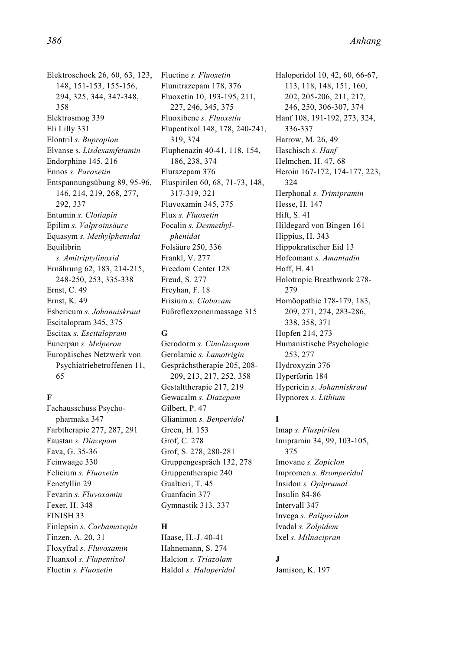Elektroschock 26, 60, 63, 123, 148, 151-153, 155-156, 294, 325, 344, 347-348, 358 Elektrosmog 339 Eli Lilly 331 Elontril *s. Bupropion* Elvanse s. *Lisdexamfetamin* Endorphine 145, 216 Ennos *s. Paroxetin* Entspannungsübung 89, 95-96, 146, 214, 219, 268, 277, 292, 337 Entumin *s. Clotiapin* Epilim *s. Valproinsäure* Equasym *s. Methylphenidat* Equilibrin *s. Amitriptylinoxid* Ernährung 62, 183, 214-215, 248-250, 253, 335-338 Ernst, C. 49 Ernst, K. 49 Esbericum *s. Johanniskraut* Escitalopram 345, 375 Escitax *s. Escitalopram* Eunerpan *s. Melperon* Europäisches Netzwerk von Psychiatriebetroffenen 11, 65

#### **F**

Fachausschuss Psychopharmaka 347 Farbtherapie 277, 287, 291 Faustan *s. Diazepam* Fava, G. 35-36 Feinwaage 330 Felicium *s. Fluoxetin* Fenetyllin 29 Fevarin *s. Fluvoxamin* Fexer, H. 348 FINISH 33 Finlepsin *s. Carbamazepin* Finzen, A. 20, 31 Floxyfral *s. Fluvoxamin* Fluanxol *s. Flupentixol* Fluctin *s. Fluoxetin*

Fluctine *s. Fluoxetin* Flunitrazepam 178, 376 Fluoxetin 10, 193-195, 211, 227, 246, 345, 375 Fluoxibene *s. Fluoxetin* Flupentixol 148, 178, 240-241, 319, 374 Fluphenazin 40-41, 118, 154, 186, 238, 374 Flurazepam 376 Fluspirilen 60, 68, 71-73, 148, 317-319, 321 Fluvoxamin 345, 375 Flux *s. Fluoxetin* Focalin *s. Desmethylphenidat* Folsäure 250, 336 Frankl, V. 277 Freedom Center 128 Freud, S. 277 Freyhan, F. 18 Frisium *s. Clobazam* Fußreflexzonenmassage 315

#### **G**

Gerodorm *s. Cinolazepam* Gerolamic *s. Lamotrigin* Gesprächstherapie 205, 208- 209, 213, 217, 252, 358 Gestalttherapie 217, 219 Gewacalm *s. Diazepam* Gilbert, P. 47 Glianimon *s. Benperidol* Green, H. 153 Grof, C. 278 Grof, S. 278, 280-281 Gruppengespräch 132, 278 Gruppentherapie 240 Gualtieri, T. 45 Guanfacin 377 Gymnastik 313, 337

#### **H**

Haase, H.-J. 40-41 Hahnemann, S. 274 Halcion *s. Triazolam* Haldol *s. Haloperidol* Haloperidol 10, 42, 60, 66-67, 113, 118, 148, 151, 160, 202, 205-206, 211, 217, 246, 250, 306-307, 374 Hanf 108, 191-192, 273, 324, 336-337 Harrow, M. 26, 49 Haschisch *s. Hanf* Helmchen, H. 47, 68 Heroin 167-172, 174-177, 223, 324 Herphonal *s. Trimipramin* Hesse, H. 147 Hift<sub>S</sub> 41 Hildegard von Bingen 161 Hippius, H. 343 Hippokratischer Eid 13 Hofcomant *s. Amantadin*  $Hoff$  H $41$ Holotropic Breathwork 278- 279 Homöopathie 178-179, 183, 209, 271, 274, 283-286, 338, 358, 371 Hopfen 214, 273 Humanistische Psychologie 253, 277 Hydroxyzin 376 Hyperforin 184 Hypericin *s. Johanniskraut* Hypnorex *s. Lithium*

#### **I**

Imap *s. Fluspirilen* Imipramin 34, 99, 103-105, 375 Imovane *s. Zopiclon* Impromen *s. Bromperidol* Insidon *s. Opipramol* Insulin 84-86 Intervall 347 Invega *s. Paliperidon* Ivadal *s. Zolpidem* Ixel *s. Milnacipran*

#### **J**

Jamison, K. 197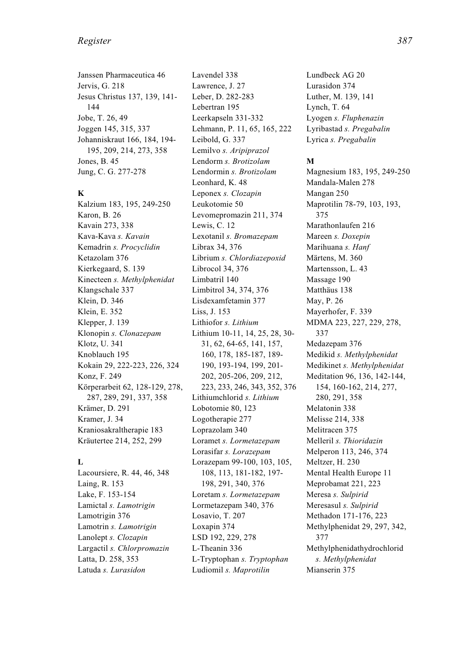#### *Register 387*

Janssen Pharmaceutica 46 Jervis, G. 218 Jesus Christus 137, 139, 141- 144 Jobe, T. 26, 49 Joggen 145, 315, 337 Johanniskraut 166, 184, 194- 195, 209, 214, 273, 358 Jones, B. 45 Jung, C. G. 277-278

#### **K**

Kalzium 183, 195, 249-250 Karon, B. 26 Kavain 273, 338 Kava-Kava *s. Kavain* Kemadrin *s. Procyclidin* Ketazolam 376 Kierkegaard, S. 139 Kinecteen *s. Methylphenidat* Klangschale 337 Klein, D. 346 Klein, E. 352 Klepper, J. 139 Klonopin *s. Clonazepam* Klotz, U. 341 Knoblauch 195 Kokain 29, 222-223, 226, 324 Konz, F. 249 Körperarbeit 62, 128-129, 278, 287, 289, 291, 337, 358 Krämer, D. 291 Kramer, J. 34 Kraniosakraltherapie 183 Kräutertee 214, 252, 299

#### **L**

Lacoursiere, R. 44, 46, 348 Laing, R. 153 Lake, F. 153-154 Lamictal *s. Lamotrigin* Lamotrigin 376 Lamotrin *s. Lamotrigin* Lanolept *s. Clozapin* Largactil *s. Chlorpromazin* Latta, D. 258, 353 Latuda *s. Lurasidon*

Lavendel 338 Lawrence, J. 27 Leber, D. 282-283 Lebertran 195 Leerkapseln 331-332 Lehmann, P. 11, 65, 165, 222 Leibold, G. 337 Lemilvo *s. Aripiprazol* Lendorm *s. Brotizolam* Lendormin *s. Brotizolam* Leonhard, K. 48 Leponex *s. Clozapin* Leukotomie 50 Levomepromazin 211, 374 Lewis, C. 12 Lexotanil *s. Bromazepam* Librax 34, 376 Librium *s. Chlordiazepoxid* Librocol 34, 376 Limbatril 140 Limbitrol 34, 374, 376 Lisdexamfetamin 377 Liss, J. 153 Lithiofor *s. Lithium* Lithium 10-11, 14, 25, 28, 30- 31, 62, 64-65, 141, 157, 160, 178, 185-187, 189- 190, 193-194, 199, 201- 202, 205-206, 209, 212, 223, 233, 246, 343, 352, 376 Lithiumchlorid *s. Lithium* Lobotomie 80, 123 Logotherapie 277 Loprazolam 340 Loramet *s. Lormetazepam* Lorasifar *s. Lorazepam* Lorazepam 99-100, 103, 105, 108, 113, 181-182, 197- 198, 291, 340, 376 Loretam *s. Lormetazepam* Lormetazepam 340, 376 Losavio, T. 207 Loxapin 374 LSD 192, 229, 278 L-Theanin 336 L-Tryptophan *s. Tryptophan* Ludiomil *s. Maprotilin*

Lundbeck AG 20 Lurasidon 374 Luther, M. 139, 141 Lynch, T. 64 Lyogen *s. Fluphenazin* Lyribastad *s. Pregabalin* Lyrica *s. Pregabalin*

#### **M**

Magnesium 183, 195, 249-250 Mandala-Malen 278 Mangan 250 Maprotilin 78-79, 103, 193, 375 Marathonlaufen 216 Mareen *s. Doxepin* Marihuana *s. Hanf* Märtens, M. 360 Martensson, L. 43 Massage 190 Matthäus 138 May, P. 26 Mayerhofer, F. 339 MDMA 223, 227, 229, 278, 337 Medazepam 376 Medikid *s. Methylphenidat* Medikinet *s. Methylphenidat* Meditation 96, 136, 142-144, 154, 160-162, 214, 277, 280, 291, 358 Melatonin 338 Melisse 214, 338 Melitracen 375 Melleril *s. Thioridazin* Melperon 113, 246, 374 Meltzer, H. 230 Mental Health Europe 11 Meprobamat 221, 223 Meresa *s. Sulpirid* Meresasul *s. Sulpirid* Methadon 171-176, 223 Methylphenidat 29, 297, 342, 377 Methylphenidathydrochlorid *s. Methylphenidat* Mianserin 375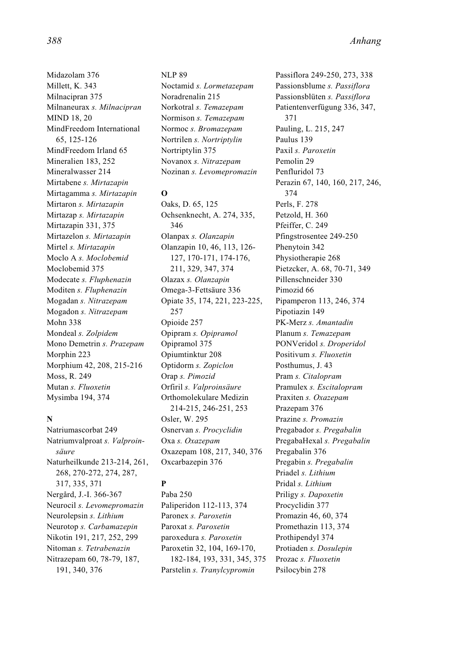Midazolam 376 Millett, K. 343 Milnacipran 375 Milnaneurax *s. Milnacipran* MIND 18, 20 MindFreedom International 65, 125-126 MindFreedom Irland 65 Mineralien 183, 252 Mineralwasser 214 Mirtabene *s. Mirtazapin* Mirtagamma *s. Mirtazapin* Mirtaron *s. Mirtazapin* Mirtazap *s. Mirtazapin* Mirtazapin 331, 375 Mirtazelon *s. Mirtazapin* Mirtel *s. Mirtazapin* Moclo A *s. Moclobemid* Moclobemid 375 Modecate *s. Fluphenazin* Moditen *s. Fluphenazin* Mogadan *s. Nitrazepam* Mogadon *s. Nitrazepam* Mohn 338 Mondeal *s. Zolpidem* Mono Demetrin *s. Prazepam* Morphin 223 Morphium 42, 208, 215-216 Moss, R. 249 Mutan *s. Fluoxetin* Mysimba 194, 374

#### **N**

Natriumascorbat 249 Natriumvalproat *s. Valproinsäure* Naturheilkunde 213-214, 261, 268, 270-272, 274, 287, 317, 335, 371 Nergård, J.-I. 366-367 Neurocil *s. Levomepromazin* Neurolepsin *s. Lithium* Neurotop *s. Carbamazepin* Nikotin 191, 217, 252, 299 Nitoman *s. Tetrabenazin* Nitrazepam 60, 78-79, 187, 191, 340, 376

NLP 89 Noctamid *s. Lormetazepam* Noradrenalin 215 Norkotral *s. Temazepam* Normison *s. Temazepam* Normoc *s. Bromazepam* Nortrilen *s. Nortriptylin* Nortriptylin 375 Novanox *s. Nitrazepam* Nozinan *s. Levomepromazin*

### **O**

Oaks, D. 65, 125 Ochsenknecht, A. 274, 335, 346 Olanpax *s. Olanzapin* Olanzapin 10, 46, 113, 126- 127, 170-171, 174-176, 211, 329, 347, 374 Olazax *s. Olanzapin* Omega-3-Fettsäure 336 Opiate 35, 174, 221, 223-225, 257 Opioide 257 Opipram *s. Opipramol* Opipramol 375 Opiumtinktur 208 Optidorm *s. Zopiclon* Orap *s. Pimozid* Orfiril *s. Valproinsäure* Orthomolekulare Medizin 214-215, 246-251, 253 Osler, W. 295 Osnervan *s. Procyclidin* Oxa *s. Oxazepam* Oxazepam 108, 217, 340, 376 Oxcarbazepin 376

## **P**

Paba 250 Paliperidon 112-113, 374 Paronex *s. Paroxetin* Paroxat *s. Paroxetin* paroxedura *s. Paroxetin* Paroxetin 32, 104, 169-170, 182-184, 193, 331, 345, 375 Parstelin *s. Tranylcypromin*

Passiflora 249-250, 273, 338 Passionsblume *s. Passiflora* Passionsblüten *s. Passiflora* Patientenverfügung 336, 347, 371 Pauling, L. 215, 247 Paulus 139 Paxil *s. Paroxetin* Pemolin 29 Penfluridol 73 Perazin 67, 140, 160, 217, 246, 374 Perls, F. 278 Petzold, H. 360 Pfeiffer, C. 249 Pfingstrosentee 249-250 Phenytoin 342 Physiotherapie 268 Pietzcker, A. 68, 70-71, 349 Pillenschneider 330 Pimozid 66 Pipamperon 113, 246, 374 Pipotiazin 149 PK-Merz *s. Amantadin* Planum *s. Temazepam* PONVeridol *s. Droperidol* Positivum *s. Fluoxetin* Posthumus, J. 43 Pram *s. Citalopram* Pramulex *s. Escitalopram* Praxiten *s. Oxazepam* Prazepam 376 Prazine *s. Promazin* Pregabador *s. Pregabalin* PregabaHexal *s. Pregabalin* Pregabalin 376 Pregabin *s. Pregabalin* Priadel *s. Lithium* Pridal *s. Lithium* Priligy *s. Dapoxetin* Procyclidin 377 Promazin 46, 60, 374 Promethazin 113, 374 Prothipendyl 374 Protiaden *s. Dosulepin* Prozac *s. Fluoxetin* Psilocybin 278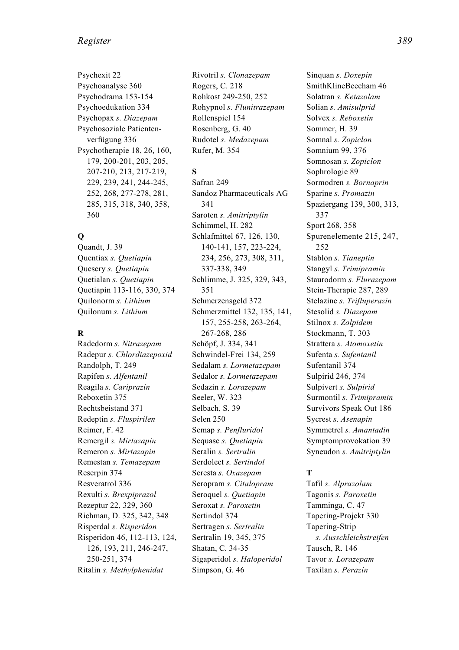Psychexit 22 Psychoanalyse 360 Psychodrama 153-154 Psychoedukation 334 Psychopax *s. Diazepam* Psychosoziale Patientenverfügung 336 Psychotherapie 18, 26, 160, 179, 200-201, 203, 205, 207-210, 213, 217-219, 229, 239, 241, 244-245, 252, 268, 277-278, 281, 285, 315, 318, 340, 358, 360

## **Q**

Quandt, J. 39 Quentiax *s. Quetiapin* Quesery *s. Quetiapin* Quetialan *s. Quetiapin* Quetiapin 113-116, 330, 374 Quilonorm *s. Lithium* Quilonum *s. Lithium*

### **R**

Radedorm *s. Nitrazepam* Radepur *s. Chlordiazepoxid* Randolph, T. 249 Rapifen *s. Alfentanil* Reagila *s. Cariprazin* Reboxetin 375 Rechtsbeistand 371 Redeptin *s. Fluspirilen* Reimer, F. 42 Remergil *s. Mirtazapin* Remeron *s. Mirtazapin* Remestan *s. Temazepam* Reserpin 374 Resveratrol 336 Rexulti *s. Brexpiprazol* Rezeptur 22, 329, 360 Richman, D. 325, 342, 348 Risperdal *s. Risperidon* Risperidon 46, 112-113, 124, 126, 193, 211, 246-247, 250-251, 374 Ritalin *s. Methylphenidat*

Rivotril *s. Clonazepam* Rogers, C. 218 Rohkost 249-250, 252 Rohypnol *s. Flunitrazepam* Rollenspiel 154 Rosenberg, G. 40 Rudotel *s. Medazepam* Rufer, M. 354

## **S**

Safran 249 Sandoz Pharmaceuticals AG 341 Saroten *s. Amitriptylin* Schimmel, H. 282 Schlafmittel 67, 126, 130, 140-141, 157, 223-224, 234, 256, 273, 308, 311, 337-338, 349 Schlimme, J. 325, 329, 343, 351 Schmerzensgeld 372 Schmerzmittel 132, 135, 141, 157, 255-258, 263-264, 267-268, 286 Schöpf, J. 334, 341 Schwindel-Frei 134, 259 Sedalam *s. Lormetazepam* Sedalor *s. Lormetazepam* Sedazin *s. Lorazepam* Seeler, W. 323 Selbach, S. 39 Selen 250 Semap *s. Penfluridol* Sequase *s. Quetiapin* Seralin *s. Sertralin* Serdolect *s. Sertindol* Seresta *s. Oxazepam* Seropram *s. Citalopram* Seroquel *s. Quetiapin* Seroxat *s. Paroxetin* Sertindol 374 Sertragen *s. Sertralin* Sertralin 19, 345, 375 Shatan, C. 34-35 Sigaperidol *s. Haloperidol* Simpson, G. 46

Sinquan *s. Doxepin* SmithKlineBeecham 46 Solatran *s. Ketazolam* Solian *s. Amisulprid* Solvex *s. Reboxetin* Sommer, H. 39 Somnal *s. Zopiclon* Somnium 99, 376 Somnosan *s. Zopiclon* Sophrologie 89 Sormodren *s. Bornaprin* Sparine *s. Promazin* Spaziergang 139, 300, 313, 337 Sport 268, 358 Spurenelemente 215, 247, 252 Stablon *s. Tianeptin* Stangyl *s. Trimipramin* Staurodorm *s. Flurazepam* Stein-Therapie 287, 289 Stelazine *s. Trifluperazin* Stesolid *s. Diazepam* Stilnox *s. Zolpidem* Stockmann, T. 303 Strattera *s. Atomoxetin* Sufenta *s. Sufentanil* Sufentanil 374 Sulpirid 246, 374 Sulpivert *s. Sulpirid* Surmontil *s. Trimipramin* Survivors Speak Out 186 Sycrest *s. Asenapin* Symmetrel *s. Amantadin* Symptomprovokation 39 Syneudon *s. Amitriptylin*

### **T**

Tafil *s. Alprazolam* Tagonis *s. Paroxetin* Tamminga, C. 47 Tapering-Projekt 330 Tapering-Strip *s. Ausschleichstreifen* Tausch, R. 146 Tavor *s. Lorazepam* Taxilan *s. Perazin*